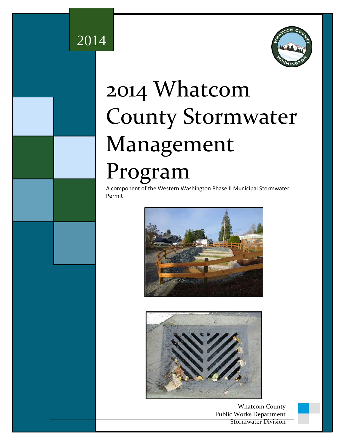



# 2014 Whatcom County Stormwater Management Program

A component of the Western Washington Phase II Municipal Stormwater Permit





Whatcom County Public Works Department Stormwater Division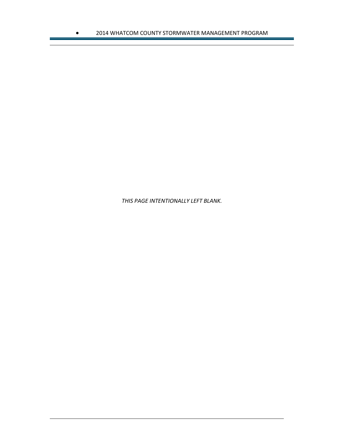*THIS PAGE INTENTIONALLY LEFT BLANK.*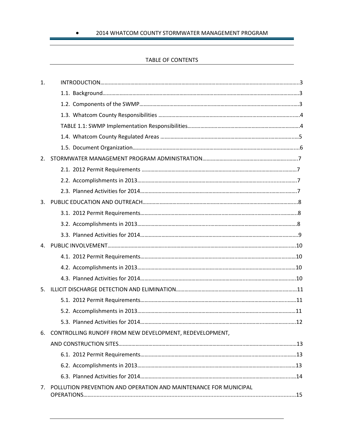#### • 2014 WHATCOM COUNTY STORMWATER MANAGEMENT PROGRAM

#### TABLE OF CONTENTS

| 1.           |                                                                  |  |
|--------------|------------------------------------------------------------------|--|
|              |                                                                  |  |
|              |                                                                  |  |
|              |                                                                  |  |
|              |                                                                  |  |
|              |                                                                  |  |
|              |                                                                  |  |
| $2_{1}$      |                                                                  |  |
|              |                                                                  |  |
|              |                                                                  |  |
|              |                                                                  |  |
| 3.           |                                                                  |  |
|              |                                                                  |  |
|              |                                                                  |  |
|              |                                                                  |  |
| $\mathbf{A}$ |                                                                  |  |
|              |                                                                  |  |
|              |                                                                  |  |
|              |                                                                  |  |
| 5.           |                                                                  |  |
|              |                                                                  |  |
|              |                                                                  |  |
|              |                                                                  |  |
| 6.           | CONTROLLING RUNOFF FROM NEW DEVELOPMENT, REDEVELOPMENT,          |  |
|              |                                                                  |  |
|              |                                                                  |  |
|              |                                                                  |  |
|              |                                                                  |  |
| 7.           | POLLUTION PREVENTION AND OPERATION AND MAINTENANCE FOR MUNICIPAL |  |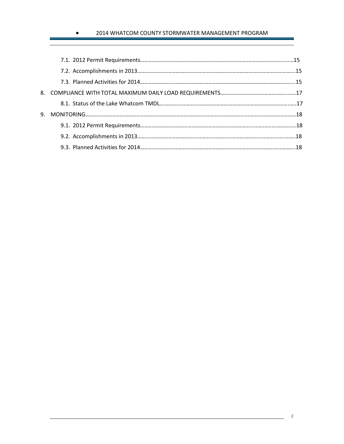#### • 2014 WHATCOM COUNTY STORMWATER MANAGEMENT PROGRAM

<u> 1989 - Johann Barn, mars eta bainar eta idazlea (</u>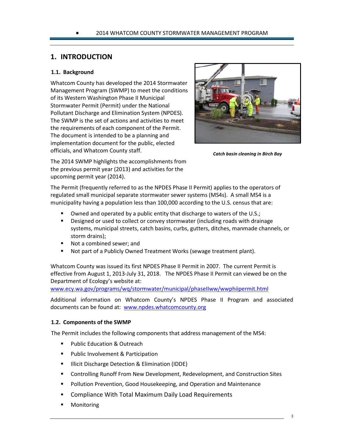# **1. INTRODUCTION**

## **1.1. Background**

Whatcom County has developed the 2014 Stormwater Management Program (SWMP) to meet the conditions of its Western Washington Phase II Municipal Stormwater Permit (Permit) under the National Pollutant Discharge and Elimination System (NPDES). The SWMP is the set of actions and activities to meet the requirements of each component of the Permit. The document is intended to be a planning and implementation document for the public, elected officials, and Whatcom County staff.



*Catch basin cleaning in Birch Bay*

The 2014 SWMP highlights the accomplishments from the previous permit year (2013) and activities for the upcoming permit year (2014).

The Permit (frequently referred to as the NPDES Phase II Permit) applies to the operators of regulated small municipal separate stormwater sewer systems (MS4s). A small MS4 is a municipality having a population less than 100,000 according to the U.S. census that are:

- **Duanglehorm** Owned and operated by a public entity that discharge to waters of the U.S.;
- **Designed or used to collect or convey stormwater (including roads with drainage** systems, municipal streets, catch basins, curbs, gutters, ditches, manmade channels, or storm drains);
- Not a combined sewer; and
- Not part of a Publicly Owned Treatment Works (sewage treatment plant).

Whatcom County was issued its first NPDES Phase II Permit in 2007. The current Permit is effective from August 1, 2013-July 31, 2018. The NPDES Phase II Permit can viewed be on the Department of Ecology's website at:

[www.ecy.wa.gov/programs/wq/stormwater/municipal/phaseIIww/wwphiipermit.html](http://www.ecy.wa.gov/programs/wq/stormwater/municipal/phaseIIww/wwphiipermit.html)

Additional information on Whatcom County's NPDES Phase II Program and associated documents can be found at: [www.npdes.whatcomcounty.org](http://www.npdes.whatcomcounty.org/)

## **1.2. Components of the SWMP**

The Permit includes the following components that address management of the MS4:

- Public Education & Outreach
- **Public Involvement & Participation**
- **Illicit Discharge Detection & Elimination (IDDE)**
- Controlling Runoff From New Development, Redevelopment, and Construction Sites
- **Pollution Prevention, Good Housekeeping, and Operation and Maintenance**
- Compliance With Total Maximum Daily Load Requirements
- Monitoring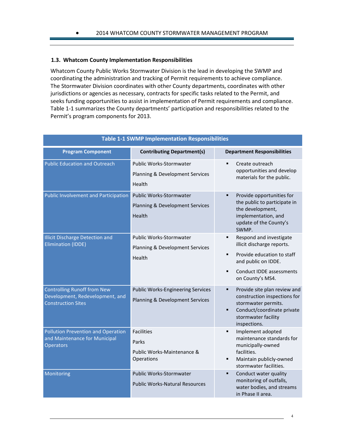#### **1.3. Whatcom County Implementation Responsibilities**

Whatcom County Public Works Stormwater Division is the lead in developing the SWMP and coordinating the administration and tracking of Permit requirements to achieve compliance. The Stormwater Division coordinates with other County departments, coordinates with other jurisdictions or agencies as necessary, contracts for specific tasks related to the Permit, and seeks funding opportunities to assist in implementation of Permit requirements and compliance. Table 1-1 summarizes the County departments' participation and responsibilities related to the Permit's program components for 2013.

| Table 1-1 Swivir Implementation Responsibilities                                                   |                                                                             |                                                                                                                                                                                               |  |  |
|----------------------------------------------------------------------------------------------------|-----------------------------------------------------------------------------|-----------------------------------------------------------------------------------------------------------------------------------------------------------------------------------------------|--|--|
| <b>Program Component</b>                                                                           | <b>Contributing Department(s)</b>                                           | <b>Department Responsibilities</b>                                                                                                                                                            |  |  |
| <b>Public Education and Outreach</b>                                                               | Public Works-Stormwater<br>Planning & Development Services<br>Health        | Create outreach<br>Ξ<br>opportunities and develop<br>materials for the public.                                                                                                                |  |  |
| Public Involvement and Participation                                                               | Public Works-Stormwater<br>Planning & Development Services<br>Health        | Provide opportunities for<br>$\blacksquare$<br>the public to participate in<br>the development,<br>implementation, and<br>update of the County's<br>SWMP.                                     |  |  |
| <b>Illicit Discharge Detection and</b><br><b>Elimination (IDDE)</b>                                | Public Works-Stormwater<br>Planning & Development Services<br>Health        | Respond and investigate<br>٠<br>illicit discharge reports.<br>Provide education to staff<br>٠<br>and public on IDDE.<br><b>Conduct IDDE assessments</b><br>$\blacksquare$<br>on County's MS4. |  |  |
| <b>Controlling Runoff from New</b><br>Development, Redevelopment, and<br><b>Construction Sites</b> | <b>Public Works-Engineering Services</b><br>Planning & Development Services | Provide site plan review and<br>п<br>construction inspections for<br>stormwater permits.<br>Conduct/coordinate private<br>٠<br>stormwater facility<br>inspections.                            |  |  |
| Pollution Prevention and Operation<br>and Maintenance for Municipal<br><b>Operators</b>            | <b>Facilities</b><br>Parks<br>Public Works-Maintenance &<br>Operations      | Implement adopted<br>٠<br>maintenance standards for<br>municipally-owned<br>facilities.<br>Maintain publicly-owned<br>٠<br>stormwater facilities.                                             |  |  |
| Monitoring                                                                                         | Public Works-Stormwater<br><b>Public Works-Natural Resources</b>            | Conduct water quality<br>٠<br>monitoring of outfalls,<br>water bodies, and streams<br>in Phase II area.                                                                                       |  |  |

#### **Table 1-1 SWMP Implementation Responsibilities**

4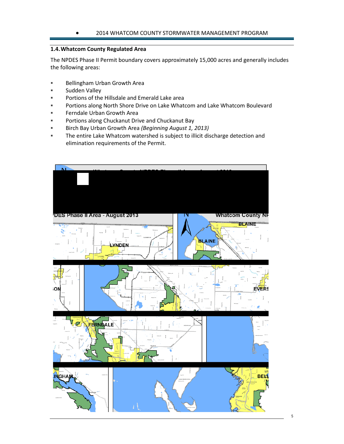## **1.4.Whatcom County Regulated Area**

The NPDES Phase II Permit boundary covers approximately 15,000 acres and generally includes the following areas:

- Bellingham Urban Growth Area
- Sudden Valley
- Portions of the Hillsdale and Emerald Lake area
- **Portions along North Shore Drive on Lake Whatcom and Lake Whatcom Boulevard**
- **Ferndale Urban Growth Area**
- **Portions along Chuckanut Drive and Chuckanut Bay**
- Birch Bay Urban Growth Area *(Beginning August 1, 2013)*
- **The entire Lake Whatcom watershed is subject to illicit discharge detection and** elimination requirements of the Permit.

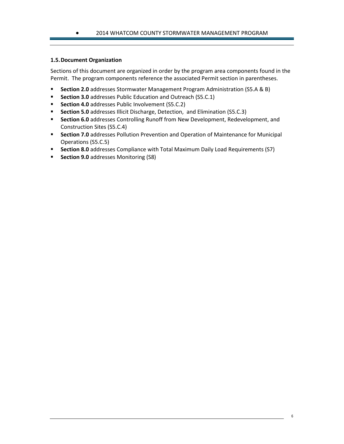## **1.5.Document Organization**

Sections of this document are organized in order by the program area components found in the Permit. The program components reference the associated Permit section in parentheses.

- **Section 2.0** addresses Stormwater Management Program Administration (S5.A & B)
- **Section 3.0** addresses Public Education and Outreach (S5.C.1)
- **Section 4.0** addresses Public Involvement (S5.C.2)
- **Section 5.0** addresses Illicit Discharge, Detection, and Elimination (S5.C.3)
- **Section 6.0** addresses Controlling Runoff from New Development, Redevelopment, and Construction Sites (S5.C.4)
- **Section 7.0** addresses Pollution Prevention and Operation of Maintenance for Municipal Operations (S5.C.5)
- **Section 8.0** addresses Compliance with Total Maximum Daily Load Requirements (S7)
- **Section 9.0** addresses Monitoring (S8)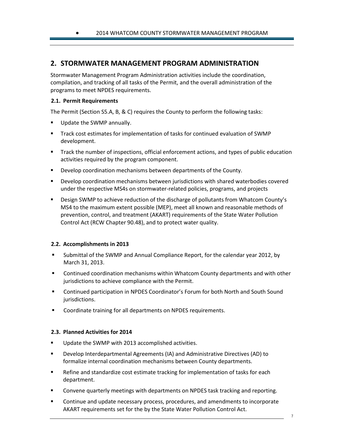# **2. STORMWATER MANAGEMENT PROGRAM ADMINISTRATION**

Stormwater Management Program Administration activities include the coordination, compilation, and tracking of all tasks of the Permit, and the overall administration of the programs to meet NPDES requirements.

#### **2.1. Permit Requirements**

The Permit (Section S5.A, B, & C) requires the County to perform the following tasks:

- Update the SWMP annually.
- Track cost estimates for implementation of tasks for continued evaluation of SWMP development.
- **Track the number of inspections, official enforcement actions, and types of public education** activities required by the program component.
- **Develop coordination mechanisms between departments of the County.**
- Develop coordination mechanisms between jurisdictions with shared waterbodies covered under the respective MS4s on stormwater-related policies, programs, and projects
- Design SWMP to achieve reduction of the discharge of pollutants from Whatcom County's MS4 to the maximum extent possible (MEP), meet all known and reasonable methods of prevention, control, and treatment (AKART) requirements of the State Water Pollution Control Act (RCW Chapter 90.48), and to protect water quality.

#### **2.2. Accomplishments in 2013**

- Submittal of the SWMP and Annual Compliance Report, for the calendar year 2012, by March 31, 2013.
- Continued coordination mechanisms within Whatcom County departments and with other jurisdictions to achieve compliance with the Permit.
- Continued participation in NPDES Coordinator's Forum for both North and South Sound jurisdictions.
- Coordinate training for all departments on NPDES requirements.

- **Update the SWMP with 2013 accomplished activities.**
- Develop Interdepartmental Agreements (IA) and Administrative Directives (AD) to formalize internal coordination mechanisms between County departments.
- **Refine and standardize cost estimate tracking for implementation of tasks for each** department.
- **Convene quarterly meetings with departments on NPDES task tracking and reporting.**
- **EXECONTER 20 IN 2018 CONTER 10 INCORDER 10 INCORDER** Continue and update necessary procedures, and amendments to incorporate AKART requirements set for the by the State Water Pollution Control Act.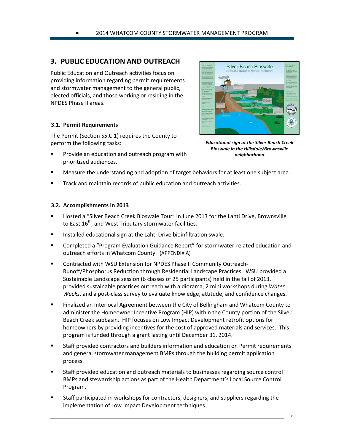# **3. PUBLIC EDUCATION AND OUTREACH**

Public Education and Outreach activities focus on providing information regarding permit requirements and stormwater management to the general public, elected officials, and those working or residing in the NPDES Phase II areas.

#### **3.1. Permit Requirements**

The Permit (Section S5.C.1) requires the County to perform the following tasks:

**Provide an education and outreach program with** prioritized audiences.



*Educational sign at the Silver Beach Creek Bioswale in the Hillsdale/Brownsville neighborhood*

- **Measure the understanding and adoption of target behaviors for at least one subject area.**
- **Track and maintain records of public education and outreach activities.**

#### **3.2. Accomplishments in 2013**

- Hosted a "Silver Beach Creek Bioswale Tour" in June 2013 for the Lahti Drive, Brownsville to East  $16<sup>th</sup>$ , and West Tributary stormwater facilities.
- **Installed educational sign at the Lahti Drive bioinfiltration swale.**
- Completed a "Program Evaluation Guidance Report" for stormwater-related education and outreach efforts in Whatcom County. (APPENDIX A)
- Contracted with WSU Extension for NPDES Phase II Community Outreach-Runoff/Phosphorus Reduction through Residential Landscape Practices. WSU provided a Sustainable Landscape session (6 classes of 25 participants) held in the fall of 2013, provided sustainable practices outreach with a diorama, 2 mini workshops during *Water Weeks*, and a post-class survey to evaluate knowledge, attitude, and confidence changes.
- **Finalized an Interlocal Agreement between the City of Bellingham and Whatcom County to** administer the Homeowner Incentive Program (HIP) within the County portion of the Silver Beach Creek subbasin. HIP focuses on Low Impact Development retrofit options for homeowners by providing incentives for the cost of approved materials and services. This program is funded through a grant lasting until December 31, 2014.
- Staff provided contractors and builders information and education on Permit requirements and general stormwater management BMPs through the building permit application process.
- Staff provided education and outreach materials to businesses regarding source control BMPs and stewardship actions as part of the Health Department's Local Source Control Program.
- Staff participated in workshops for contractors, designers, and suppliers regarding the implementation of Low Impact Development techniques.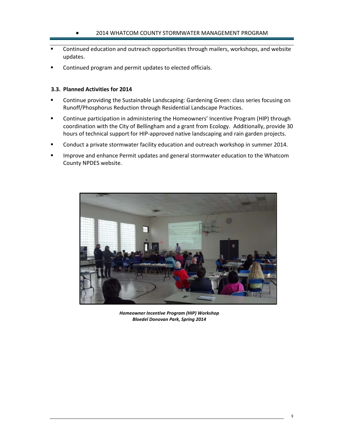- Continued education and outreach opportunities through mailers, workshops, and website updates.
- Continued program and permit updates to elected officials.

- **EXEDENT Continue providing the Sustainable Landscaping: Gardening Green: class series focusing on** Runoff/Phosphorus Reduction through Residential Landscape Practices.
- **EXECONTER CONTINUM** Continue participation in administering the Homeowners' Incentive Program (HIP) through coordination with the City of Bellingham and a grant from Ecology. Additionally, provide 30 hours of technical support for HIP-approved native landscaping and rain garden projects.
- Conduct a private stormwater facility education and outreach workshop in summer 2014.
- Improve and enhance Permit updates and general stormwater education to the Whatcom County NPDES website.



*Homeowner Incentive Program (HIP) Workshop Bloedel Donovan Park, Spring 2014*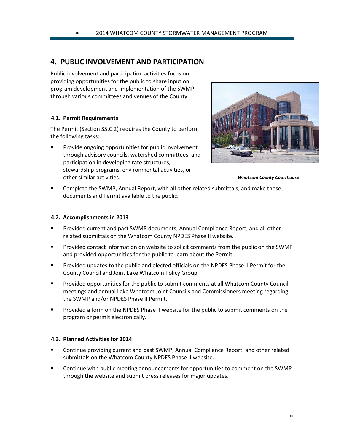# **4. PUBLIC INVOLVEMENT AND PARTICIPATION**

Public involvement and participation activities focus on providing opportunities for the public to share input on program development and implementation of the SWMP through various committees and venues of the County.

#### **4.1. Permit Requirements**

The Permit (Section S5.C.2) requires the County to perform the following tasks:

**Provide ongoing opportunities for public involvement** through advisory councils, watershed committees, and participation in developing rate structures, stewardship programs, environmental activities, or other similar activities.



*Whatcom County Courthouse*

 Complete the SWMP, Annual Report, with all other related submittals, and make those documents and Permit available to the public.

#### **4.2. Accomplishments in 2013**

- Provided current and past SWMP documents, Annual Compliance Report, and all other related submittals on the Whatcom County NPDES Phase II website.
- **Provided contact information on website to solicit comments from the public on the SWMP** and provided opportunities for the public to learn about the Permit.
- **Provided updates to the public and elected officials on the NPDES Phase II Permit for the** County Council and Joint Lake Whatcom Policy Group.
- **Provided opportunities for the public to submit comments at all Whatcom County Council** meetings and annual Lake Whatcom Joint Councils and Commissioners meeting regarding the SWMP and/or NPDES Phase II Permit.
- Provided a form on the NPDES Phase II website for the public to submit comments on the program or permit electronically.

- **EXP** Continue providing current and past SWMP, Annual Compliance Report, and other related submittals on the Whatcom County NPDES Phase II website.
- Continue with public meeting announcements for opportunities to comment on the SWMP through the website and submit press releases for major updates.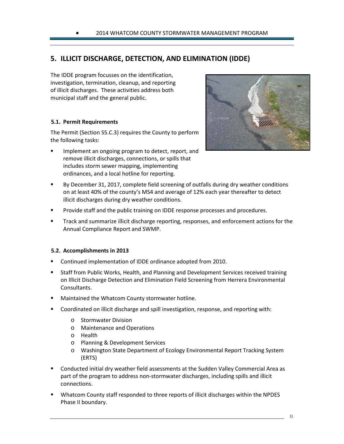# **5. ILLICIT DISCHARGE, DETECTION, AND ELIMINATION (IDDE)**

The IDDE program focusses on the identification, investigation, termination, cleanup, and reporting of illicit discharges. These activities address both municipal staff and the general public.

## **5.1. Permit Requirements**

The Permit (Section S5.C.3) requires the County to perform the following tasks:

 Implement an ongoing program to detect, report, and remove illicit discharges, connections, or spills that includes storm sewer mapping, implementing ordinances, and a local hotline for reporting.



- By December 31, 2017, complete field screening of outfalls during dry weather conditions on at least 40% of the county's MS4 and average of 12% each year thereafter to detect illicit discharges during dry weather conditions.
- **Provide staff and the public training on IDDE response processes and procedures.**
- Track and summarize illicit discharge reporting, responses, and enforcement actions for the Annual Compliance Report and SWMP.

#### **5.2. Accomplishments in 2013**

- Continued implementation of IDDE ordinance adopted from 2010.
- Staff from Public Works, Health, and Planning and Development Services received training on Illicit Discharge Detection and Elimination Field Screening from Herrera Environmental Consultants.
- Maintained the Whatcom County stormwater hotline.
- Coordinated on illicit discharge and spill investigation, response, and reporting with:
	- o Stormwater Division
	- o Maintenance and Operations
	- o Health
	- o Planning & Development Services
	- o Washington State Department of Ecology Environmental Report Tracking System (ERTS)
- **Conducted initial dry weather field assessments at the Sudden Valley Commercial Area as** part of the program to address non-stormwater discharges, including spills and illicit connections.
- Whatcom County staff responded to three reports of illicit discharges within the NPDES Phase II boundary.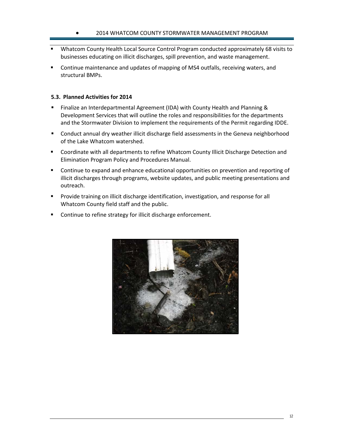- Whatcom County Health Local Source Control Program conducted approximately 68 visits to businesses educating on illicit discharges, spill prevention, and waste management.
- Continue maintenance and updates of mapping of MS4 outfalls, receiving waters, and structural BMPs.

- Finalize an Interdepartmental Agreement (IDA) with County Health and Planning & Development Services that will outline the roles and responsibilities for the departments and the Stormwater Division to implement the requirements of the Permit regarding IDDE.
- **EXP** Conduct annual dry weather illicit discharge field assessments in the Geneva neighborhood of the Lake Whatcom watershed.
- **Coordinate with all departments to refine Whatcom County Illicit Discharge Detection and** Elimination Program Policy and Procedures Manual.
- **Continue to expand and enhance educational opportunities on prevention and reporting of** illicit discharges through programs, website updates, and public meeting presentations and outreach.
- Provide training on illicit discharge identification, investigation, and response for all Whatcom County field staff and the public.
- Continue to refine strategy for illicit discharge enforcement.

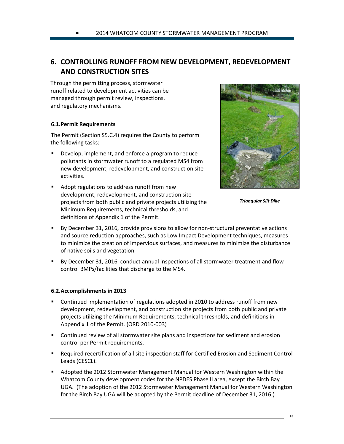# **6. CONTROLLING RUNOFF FROM NEW DEVELOPMENT, REDEVELOPMENT AND CONSTRUCTION SITES**

Through the permitting process, stormwater runoff related to development activities can be managed through permit review, inspections, and regulatory mechanisms.

#### **6.1.Permit Requirements**

The Permit (Section S5.C.4) requires the County to perform the following tasks:

- Develop, implement, and enforce a program to reduce pollutants in stormwater runoff to a regulated MS4 from new development, redevelopment, and construction site activities.
- Adopt regulations to address runoff from new development, redevelopment, and construction site projects from both public and private projects utilizing the Minimum Requirements, technical thresholds, and definitions of Appendix 1 of the Permit.



*Triangular Silt Dike*

- **By December 31, 2016, provide provisions to allow for non-structural preventative actions** and source reduction approaches, such as Low Impact Development techniques, measures to minimize the creation of impervious surfaces, and measures to minimize the disturbance of native soils and vegetation.
- By December 31, 2016, conduct annual inspections of all stormwater treatment and flow control BMPs/facilities that discharge to the MS4.

#### **6.2.Accomplishments in 2013**

- Continued implementation of regulations adopted in 2010 to address runoff from new development, redevelopment, and construction site projects from both public and private projects utilizing the Minimum Requirements, technical thresholds, and definitions in Appendix 1 of the Permit. (ORD 2010-003)
- Continued review of all stormwater site plans and inspections for sediment and erosion control per Permit requirements.
- **EXECT** Required recertification of all site inspection staff for Certified Erosion and Sediment Control Leads (CESCL).
- Adopted the 2012 Stormwater Management Manual for Western Washington within the Whatcom County development codes for the NPDES Phase II area, except the Birch Bay UGA. (The adoption of the 2012 Stormwater Management Manual for Western Washington for the Birch Bay UGA will be adopted by the Permit deadline of December 31, 2016.)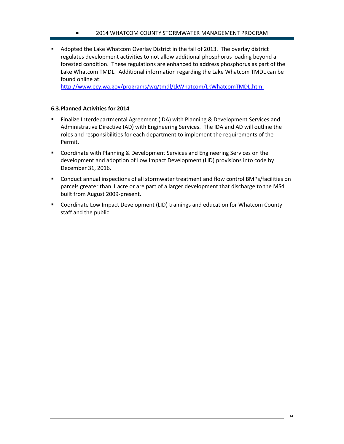Adopted the Lake Whatcom Overlay District in the fall of 2013. The overlay district regulates development activities to not allow additional phosphorus loading beyond a forested condition. These regulations are enhanced to address phosphorus as part of the Lake Whatcom TMDL. Additional information regarding the Lake Whatcom TMDL can be found online at:

<http://www.ecy.wa.gov/programs/wq/tmdl/LkWhatcom/LkWhatcomTMDL.html>

- Finalize Interdepartmental Agreement (IDA) with Planning & Development Services and Administrative Directive (AD) with Engineering Services. The IDA and AD will outline the roles and responsibilities for each department to implement the requirements of the Permit.
- Coordinate with Planning & Development Services and Engineering Services on the development and adoption of Low Impact Development (LID) provisions into code by December 31, 2016.
- Conduct annual inspections of all stormwater treatment and flow control BMPs/facilities on parcels greater than 1 acre or are part of a larger development that discharge to the MS4 built from August 2009-present.
- Coordinate Low Impact Development (LID) trainings and education for Whatcom County staff and the public.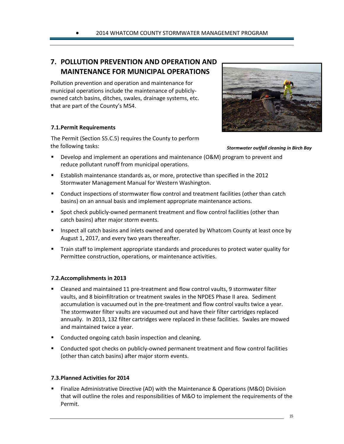# **7. POLLUTION PREVENTION AND OPERATION AND MAINTENANCE FOR MUNICIPAL OPERATIONS**

Pollution prevention and operation and maintenance for municipal operations include the maintenance of publiclyowned catch basins, ditches, swales, drainage systems, etc. that are part of the County's MS4.

#### **7.1.Permit Requirements**

The Permit (Section S5.C.5) requires the County to perform the following tasks:



*Stormwater outfall cleaning in Birch Bay* 

- Develop and implement an operations and maintenance (O&M) program to prevent and reduce pollutant runoff from municipal operations.
- Establish maintenance standards as, or more, protective than specified in the 2012 Stormwater Management Manual for Western Washington.
- Conduct inspections of stormwater flow control and treatment facilities (other than catch basins) on an annual basis and implement appropriate maintenance actions.
- Spot check publicly-owned permanent treatment and flow control facilities (other than catch basins) after major storm events.
- **Inspect all catch basins and inlets owned and operated by Whatcom County at least once by** August 1, 2017, and every two years thereafter.
- Train staff to implement appropriate standards and procedures to protect water quality for Permittee construction, operations, or maintenance activities.

#### **7.2.Accomplishments in 2013**

- Cleaned and maintained 11 pre-treatment and flow control vaults, 9 stormwater filter vaults, and 8 bioinfiltration or treatment swales in the NPDES Phase II area. Sediment accumulation is vacuumed out in the pre-treatment and flow control vaults twice a year. The stormwater filter vaults are vacuumed out and have their filter cartridges replaced annually. In 2013, 132 filter cartridges were replaced in these facilities. Swales are mowed and maintained twice a year.
- **Conducted ongoing catch basin inspection and cleaning.**
- Conducted spot checks on publicly-owned permanent treatment and flow control facilities (other than catch basins) after major storm events.

#### **7.3.Planned Activities for 2014**

**Finalize Administrative Directive (AD) with the Maintenance & Operations (M&O) Division** that will outline the roles and responsibilities of M&O to implement the requirements of the Permit.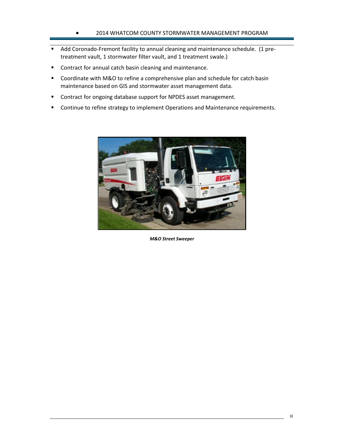- Add Coronado-Fremont facility to annual cleaning and maintenance schedule. (1 pretreatment vault, 1 stormwater filter vault, and 1 treatment swale.)
- **Contract for annual catch basin cleaning and maintenance.**
- Coordinate with M&O to refine a comprehensive plan and schedule for catch basin maintenance based on GIS and stormwater asset management data.
- **EXECONTRACT CONTROL CONTROVER IS CONTROVER THE CONTROVER THE CONTROVER IS CONTROVER THE CONTROVER IS CONTR**
- **Continue to refine strategy to implement Operations and Maintenance requirements.**



*M&O Street Sweeper*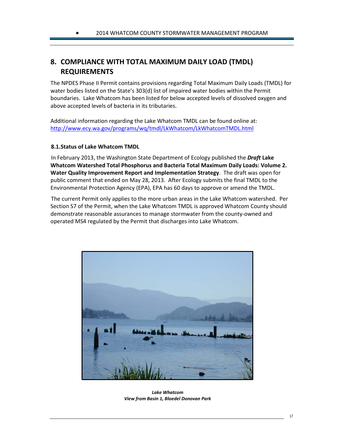# **8. COMPLIANCE WITH TOTAL MAXIMUM DAILY LOAD (TMDL) REQUIREMENTS**

The NPDES Phase II Permit contains provisions regarding Total Maximum Daily Loads (TMDL) for water bodies listed on the State's 303(d) list of impaired water bodies within the Permit boundaries. Lake Whatcom has been listed for below accepted levels of dissolved oxygen and above accepted levels of bacteria in its tributaries.

Additional information regarding the Lake Whatcom TMDL can be found online at: <http://www.ecy.wa.gov/programs/wq/tmdl/LkWhatcom/LkWhatcomTMDL.html>

## **8.1.Status of Lake Whatcom TMDL**

In February 2013, the Washington State Department of Ecology published the *Draft* **Lake Whatcom Watershed Total Phosphorus and Bacteria Total Maximum Daily Loads: Volume 2. Water Quality Improvement Report and Implementation Strategy**. The draft was open for public comment that ended on May 28, 2013. After Ecology submits the final TMDL to the Environmental Protection Agency (EPA), EPA has 60 days to approve or amend the TMDL.

The current Permit only applies to the more urban areas in the Lake Whatcom watershed. Per Section S7 of the Permit, when the Lake Whatcom TMDL is approved Whatcom County should demonstrate reasonable assurances to manage stormwater from the county-owned and operated MS4 regulated by the Permit that discharges into Lake Whatcom.



*Lake Whatcom View from Basin 1, Bloedel Donovan Park*